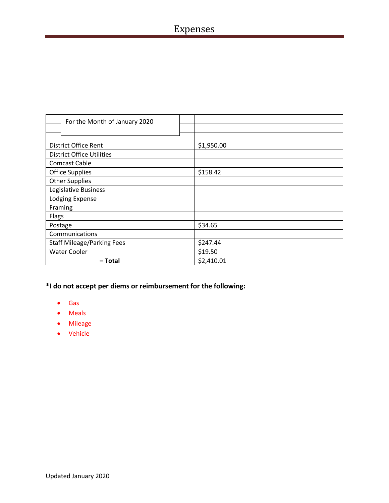| For the Month of January 2020     |            |
|-----------------------------------|------------|
|                                   |            |
|                                   |            |
| <b>District Office Rent</b>       | \$1,950.00 |
| <b>District Office Utilities</b>  |            |
| <b>Comcast Cable</b>              |            |
| <b>Office Supplies</b>            | \$158.42   |
| <b>Other Supplies</b>             |            |
| Legislative Business              |            |
| Lodging Expense                   |            |
| Framing                           |            |
| Flags                             |            |
| Postage                           | \$34.65    |
| Communications                    |            |
| <b>Staff Mileage/Parking Fees</b> | \$247.44   |
| <b>Water Cooler</b>               | \$19.50    |
| – Total                           | \$2,410.01 |

- Gas
- Meals
- Mileage
- Vehicle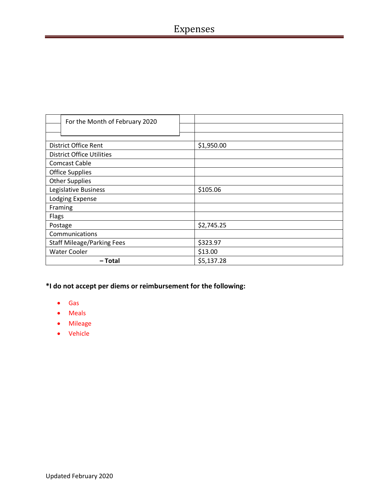| For the Month of February 2020    |            |
|-----------------------------------|------------|
|                                   |            |
|                                   |            |
| <b>District Office Rent</b>       | \$1,950.00 |
| <b>District Office Utilities</b>  |            |
| <b>Comcast Cable</b>              |            |
| <b>Office Supplies</b>            |            |
| <b>Other Supplies</b>             |            |
| Legislative Business              | \$105.06   |
| Lodging Expense                   |            |
| Framing                           |            |
| Flags                             |            |
| Postage                           | \$2,745.25 |
| Communications                    |            |
| <b>Staff Mileage/Parking Fees</b> | \$323.97   |
| <b>Water Cooler</b>               | \$13.00    |
| – Total                           | \$5,137.28 |

- Gas
- Meals
- Mileage
- Vehicle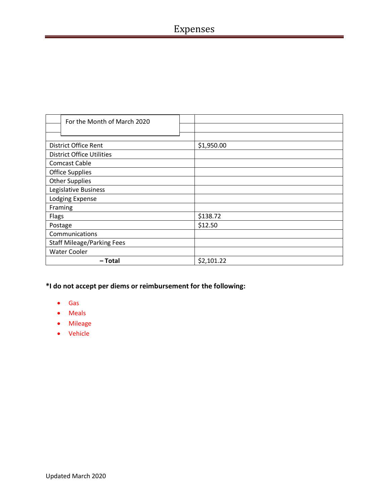| For the Month of March 2020       |            |
|-----------------------------------|------------|
|                                   |            |
|                                   |            |
| <b>District Office Rent</b>       | \$1,950.00 |
| <b>District Office Utilities</b>  |            |
| <b>Comcast Cable</b>              |            |
| <b>Office Supplies</b>            |            |
| <b>Other Supplies</b>             |            |
| Legislative Business              |            |
| Lodging Expense                   |            |
| Framing                           |            |
| Flags                             | \$138.72   |
| Postage                           | \$12.50    |
| Communications                    |            |
| <b>Staff Mileage/Parking Fees</b> |            |
| <b>Water Cooler</b>               |            |
| - Total                           | \$2,101.22 |

- Gas
- Meals
- Mileage
- Vehicle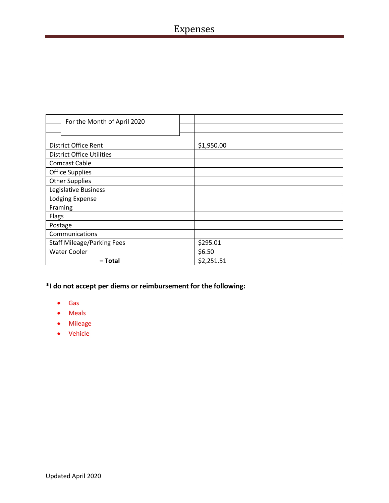| For the Month of April 2020       |            |
|-----------------------------------|------------|
|                                   |            |
|                                   |            |
| <b>District Office Rent</b>       | \$1,950.00 |
| <b>District Office Utilities</b>  |            |
| <b>Comcast Cable</b>              |            |
| <b>Office Supplies</b>            |            |
| <b>Other Supplies</b>             |            |
| Legislative Business              |            |
| Lodging Expense                   |            |
| Framing                           |            |
| Flags                             |            |
| Postage                           |            |
| Communications                    |            |
| <b>Staff Mileage/Parking Fees</b> | \$295.01   |
| <b>Water Cooler</b>               | \$6.50     |
| – Total                           | \$2,251.51 |

- Gas
- Meals
- Mileage
- Vehicle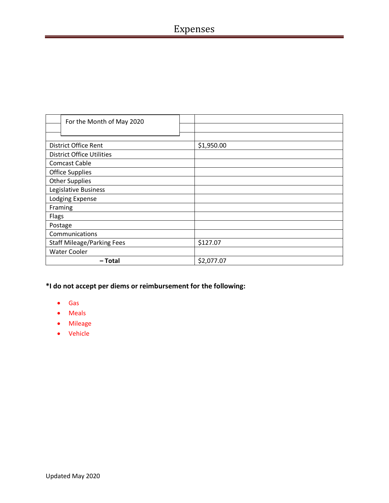| For the Month of May 2020         |            |
|-----------------------------------|------------|
|                                   |            |
|                                   |            |
| <b>District Office Rent</b>       | \$1,950.00 |
| <b>District Office Utilities</b>  |            |
| <b>Comcast Cable</b>              |            |
| <b>Office Supplies</b>            |            |
| <b>Other Supplies</b>             |            |
| Legislative Business              |            |
| Lodging Expense                   |            |
| Framing                           |            |
| Flags                             |            |
| Postage                           |            |
| Communications                    |            |
| <b>Staff Mileage/Parking Fees</b> | \$127.07   |
| <b>Water Cooler</b>               |            |
| – Total                           | \$2,077.07 |

- Gas
- Meals
- Mileage
- Vehicle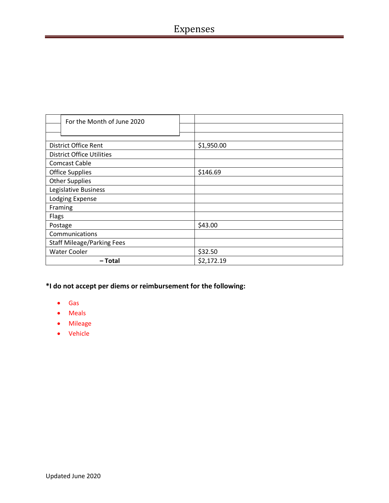| For the Month of June 2020        |            |
|-----------------------------------|------------|
|                                   |            |
|                                   |            |
| <b>District Office Rent</b>       | \$1,950.00 |
| <b>District Office Utilities</b>  |            |
| <b>Comcast Cable</b>              |            |
| <b>Office Supplies</b>            | \$146.69   |
| <b>Other Supplies</b>             |            |
| Legislative Business              |            |
| Lodging Expense                   |            |
| Framing                           |            |
| Flags                             |            |
| Postage                           | \$43.00    |
| Communications                    |            |
| <b>Staff Mileage/Parking Fees</b> |            |
| <b>Water Cooler</b>               | \$32.50    |
| – Total                           | \$2,172.19 |

- Gas
- Meals
- Mileage
- Vehicle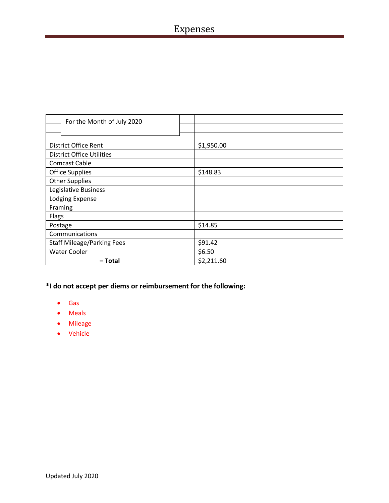| For the Month of July 2020        |            |
|-----------------------------------|------------|
|                                   |            |
|                                   |            |
| <b>District Office Rent</b>       | \$1,950.00 |
| <b>District Office Utilities</b>  |            |
| <b>Comcast Cable</b>              |            |
| <b>Office Supplies</b>            | \$148.83   |
| <b>Other Supplies</b>             |            |
| Legislative Business              |            |
| Lodging Expense                   |            |
| Framing                           |            |
| Flags                             |            |
| Postage                           | \$14.85    |
| Communications                    |            |
| <b>Staff Mileage/Parking Fees</b> | \$91.42    |
| <b>Water Cooler</b>               | \$6.50     |
| – Total                           | \$2,211.60 |

- Gas
- Meals
- Mileage
- Vehicle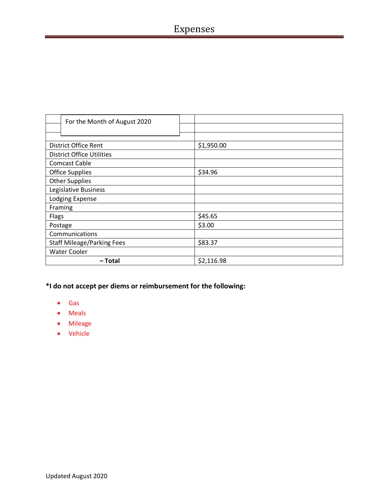| For the Month of August 2020      |            |
|-----------------------------------|------------|
|                                   |            |
|                                   |            |
| District Office Rent              | \$1,950.00 |
| <b>District Office Utilities</b>  |            |
| <b>Comcast Cable</b>              |            |
| <b>Office Supplies</b>            | \$34.96    |
| <b>Other Supplies</b>             |            |
| Legislative Business              |            |
| Lodging Expense                   |            |
| Framing                           |            |
| Flags                             | \$45.65    |
| Postage                           | \$3.00     |
| Communications                    |            |
| <b>Staff Mileage/Parking Fees</b> | \$83.37    |
| <b>Water Cooler</b>               |            |
| – Total                           | \$2,116.98 |

- Gas
- Meals
- Mileage
- Vehicle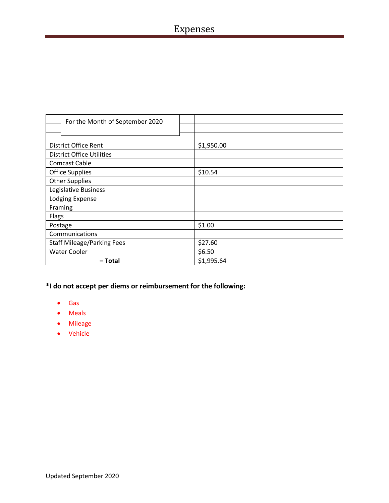| For the Month of September 2020   |            |
|-----------------------------------|------------|
|                                   |            |
|                                   |            |
| <b>District Office Rent</b>       | \$1,950.00 |
| <b>District Office Utilities</b>  |            |
| <b>Comcast Cable</b>              |            |
| <b>Office Supplies</b>            | \$10.54    |
| <b>Other Supplies</b>             |            |
| Legislative Business              |            |
| Lodging Expense                   |            |
| Framing                           |            |
| Flags                             |            |
| Postage                           | \$1.00     |
| Communications                    |            |
| <b>Staff Mileage/Parking Fees</b> | \$27.60    |
| <b>Water Cooler</b>               | \$6.50     |
| – Total                           | \$1,995.64 |

- Gas
- Meals
- Mileage
- Vehicle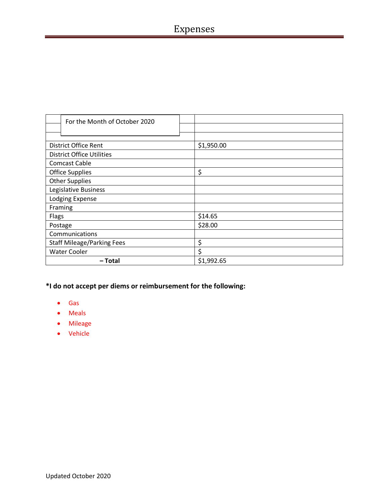| For the Month of October 2020     |            |
|-----------------------------------|------------|
|                                   |            |
|                                   |            |
| <b>District Office Rent</b>       | \$1,950.00 |
| <b>District Office Utilities</b>  |            |
| <b>Comcast Cable</b>              |            |
| <b>Office Supplies</b>            | \$         |
| <b>Other Supplies</b>             |            |
| Legislative Business              |            |
| Lodging Expense                   |            |
| Framing                           |            |
| Flags                             | \$14.65    |
| Postage                           | \$28.00    |
| Communications                    |            |
| <b>Staff Mileage/Parking Fees</b> | \$         |
| <b>Water Cooler</b>               | \$         |
| – Total                           | \$1,992.65 |

- Gas
- Meals
- Mileage
- Vehicle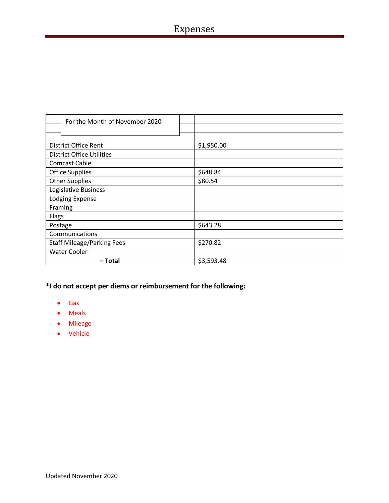| For the Month of November 2020    |            |
|-----------------------------------|------------|
|                                   |            |
|                                   |            |
| <b>District Office Rent</b>       | \$1,950.00 |
| <b>District Office Utilities</b>  |            |
| <b>Comcast Cable</b>              |            |
| <b>Office Supplies</b>            | \$648.84   |
| <b>Other Supplies</b>             | \$80.54    |
| Legislative Business              |            |
| Lodging Expense                   |            |
| Framing                           |            |
| Flags                             |            |
| Postage                           | \$643.28   |
| Communications                    |            |
| <b>Staff Mileage/Parking Fees</b> | \$270.82   |
| <b>Water Cooler</b>               |            |
| – Total                           | \$3,593.48 |

- Gas
- Meals
- Mileage
- Vehicle